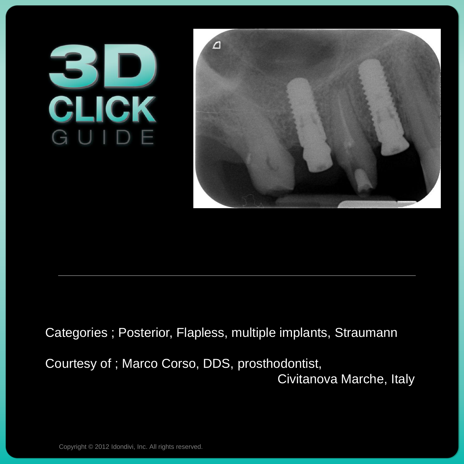## **BIDE**



## Categories ; Posterior, Flapless, multiple implants, Straumann

Courtesy of ; Marco Corso, DDS, prosthodontist, Civitanova Marche, Italy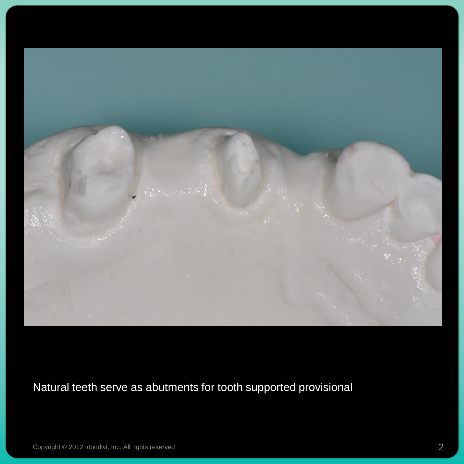

## Natural teeth serve as abutments for tooth supported provisional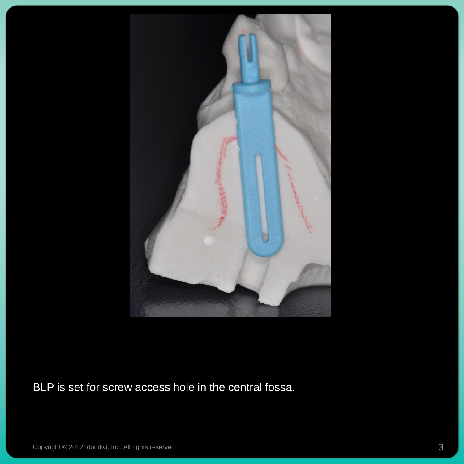

BLP is set for screw access hole in the central fossa.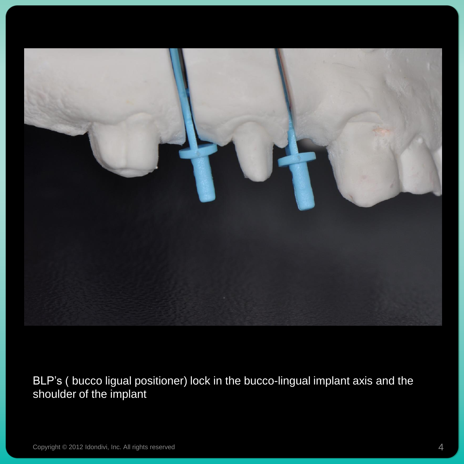

BLP's ( bucco ligual positioner) lock in the bucco-lingual implant axis and the shoulder of the implant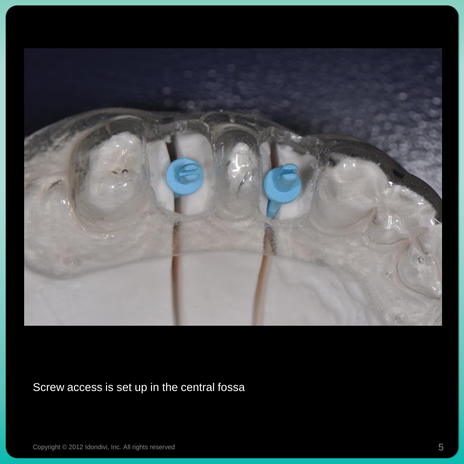

Screw access is set up in the central fossa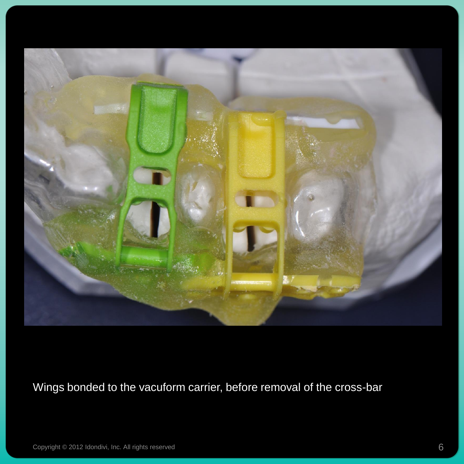

Wings bonded to the vacuform carrier, before removal of the cross-bar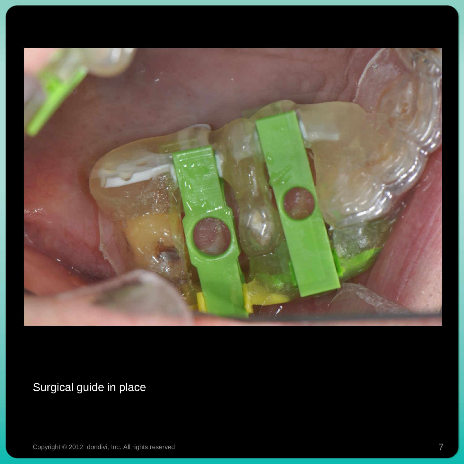

Surgical guide in place

Copyright © 2012 Idondivi, Inc. All rights reserved Texas and Texas and Texas and Texas and Texas and Texas and Texas and Texas and Texas and Texas and Texas and Texas and Texas and Texas and Texas and Texas and Texas and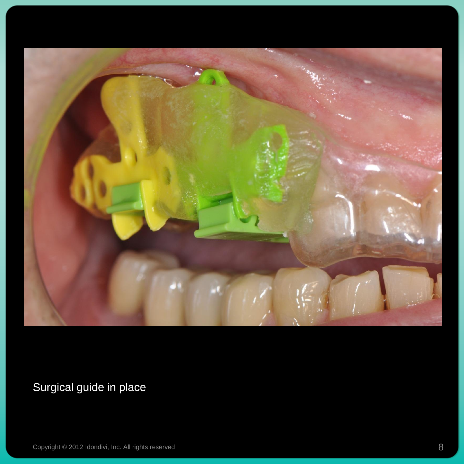

Surgical guide in place

Copyright © 2012 Idondivi, Inc. All rights reserved 8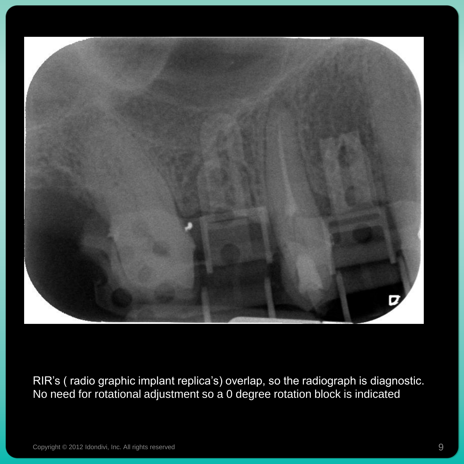

RIR's ( radio graphic implant replica's) overlap, so the radiograph is diagnostic. No need for rotational adjustment so a 0 degree rotation block is indicated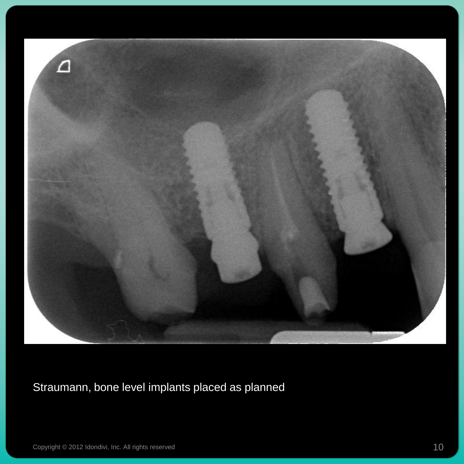

Straumann, bone level implants placed as planned